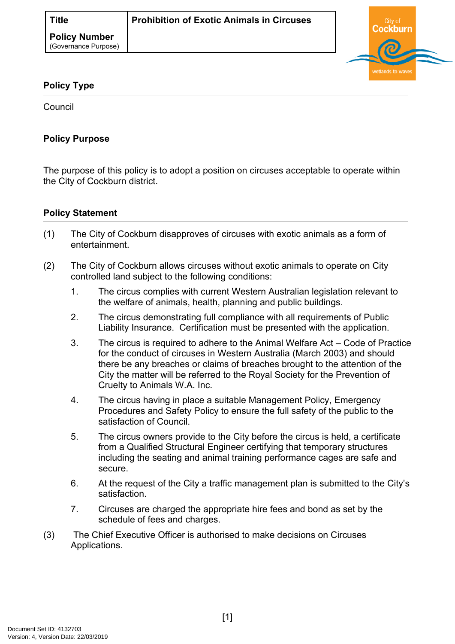

## **Policy Type**

Council

## **Policy Purpose**

The purpose of this policy is to adopt a position on circuses acceptable to operate within the City of Cockburn district.

## **[Policy Statement](#page-0-0)**

- <span id="page-0-0"></span>(1) The City of Cockburn disapproves of circuses with exotic animals as a form of entertainment.
- (2) The City of Cockburn allows circuses without exotic animals to operate on City controlled land subject to the following conditions:
	- 1. The circus complies with current Western Australian legislation relevant to the welfare of animals, health, planning and public buildings.
	- 2. The circus demonstrating full compliance with all requirements of Public Liability Insurance. Certification must be presented with the application.
	- 3. The circus is required to adhere to the Animal Welfare Act Code of Practice for the conduct of circuses in Western Australia (March 2003) and should there be any breaches or claims of breaches brought to the attention of the City the matter will be referred to the Royal Society for the Prevention of Cruelty to Animals W.A. Inc.
	- 4. The circus having in place a suitable Management Policy, Emergency Procedures and Safety Policy to ensure the full safety of the public to the satisfaction of Council.
	- 5. The circus owners provide to the City before the circus is held, a certificate from a Qualified Structural Engineer certifying that temporary structures including the seating and animal training performance cages are safe and secure.
	- 6. At the request of the City a traffic management plan is submitted to the City's satisfaction.
	- 7. Circuses are charged the appropriate hire fees and bond as set by the schedule of fees and charges.
- <span id="page-0-1"></span>(3) The Chief Executive Officer is authorised to make decisions on Circuses Applications.